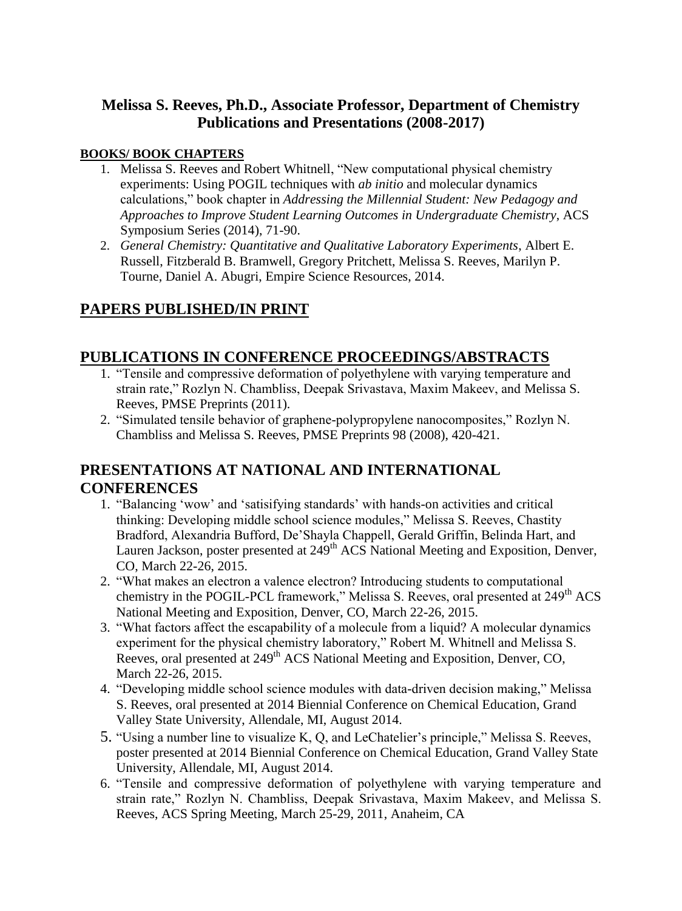## **Melissa S. Reeves, Ph.D., Associate Professor, Department of Chemistry Publications and Presentations (2008-2017)**

#### **BOOKS/ BOOK CHAPTERS**

- 1. Melissa S. Reeves and Robert Whitnell, "New computational physical chemistry experiments: Using POGIL techniques with *ab initio* and molecular dynamics calculations," book chapter in *Addressing the Millennial Student: New Pedagogy and Approaches to Improve Student Learning Outcomes in Undergraduate Chemistry*, ACS Symposium Series (2014), 71-90.
- 2. *General Chemistry: Quantitative and Qualitative Laboratory Experiments*, Albert E. Russell, Fitzberald B. Bramwell, Gregory Pritchett, Melissa S. Reeves, Marilyn P. Tourne, Daniel A. Abugri, Empire Science Resources, 2014.

# **PAPERS PUBLISHED/IN PRINT**

## **PUBLICATIONS IN CONFERENCE PROCEEDINGS/ABSTRACTS**

- 1. "Tensile and compressive deformation of polyethylene with varying temperature and strain rate," Rozlyn N. Chambliss, Deepak Srivastava, Maxim Makeev, and Melissa S. Reeves, PMSE Preprints (2011).
- 2. "Simulated tensile behavior of graphene-polypropylene nanocomposites," Rozlyn N. Chambliss and Melissa S. Reeves, PMSE Preprints 98 (2008), 420-421.

## **PRESENTATIONS AT NATIONAL AND INTERNATIONAL CONFERENCES**

- 1. "Balancing 'wow' and 'satisifying standards' with hands-on activities and critical thinking: Developing middle school science modules," Melissa S. Reeves, Chastity Bradford, Alexandria Bufford, De'Shayla Chappell, Gerald Griffin, Belinda Hart, and Lauren Jackson, poster presented at 249<sup>th</sup> ACS National Meeting and Exposition, Denver, CO, March 22-26, 2015.
- 2. "What makes an electron a valence electron? Introducing students to computational chemistry in the POGIL-PCL framework," Melissa S. Reeves, oral presented at 249<sup>th</sup> ACS National Meeting and Exposition, Denver, CO, March 22-26, 2015.
- 3. "What factors affect the escapability of a molecule from a liquid? A molecular dynamics experiment for the physical chemistry laboratory," Robert M. Whitnell and Melissa S. Reeves, oral presented at 249<sup>th</sup> ACS National Meeting and Exposition, Denver, CO, March 22-26, 2015.
- 4. "Developing middle school science modules with data-driven decision making," Melissa S. Reeves, oral presented at 2014 Biennial Conference on Chemical Education, Grand Valley State University, Allendale, MI, August 2014.
- 5. "Using a number line to visualize K, Q, and LeChatelier's principle," Melissa S. Reeves, poster presented at 2014 Biennial Conference on Chemical Education, Grand Valley State University, Allendale, MI, August 2014.
- 6. "Tensile and compressive deformation of polyethylene with varying temperature and strain rate," Rozlyn N. Chambliss, Deepak Srivastava, Maxim Makeev, and Melissa S. Reeves, ACS Spring Meeting, March 25-29, 2011, Anaheim, CA